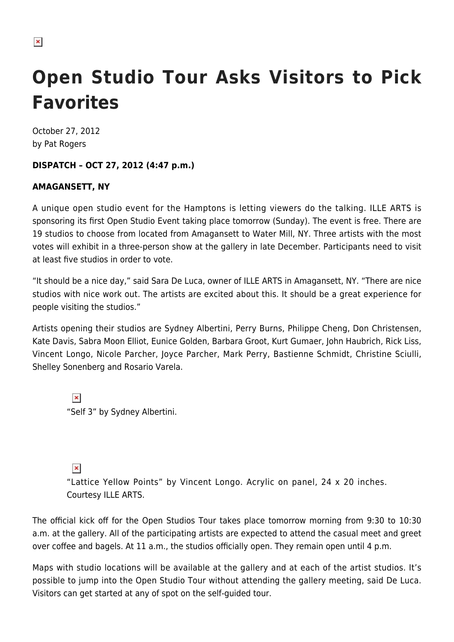## $\pmb{\times}$

# **Open Studio Tour Asks Visitors to Pick Favorites**

October 27, 2012 by Pat Rogers

### **DISPATCH – OCT 27, 2012 (4:47 p.m.)**

### **AMAGANSETT, NY**

A unique open studio event for the Hamptons is letting viewers do the talking. ILLE ARTS is sponsoring its first Open Studio Event taking place tomorrow (Sunday). The event is free. There are 19 studios to choose from located from Amagansett to Water Mill, NY. Three artists with the most votes will exhibit in a three-person show at the gallery in late December. Participants need to visit at least five studios in order to vote.

"It should be a nice day," said Sara De Luca, owner of ILLE ARTS in Amagansett, NY. "There are nice studios with nice work out. The artists are excited about this. It should be a great experience for people visiting the studios."

Artists opening their studios are Sydney Albertini, Perry Burns, Philippe Cheng, Don Christensen, Kate Davis, Sabra Moon Elliot, Eunice Golden, Barbara Groot, Kurt Gumaer, John Haubrich, Rick Liss, Vincent Longo, Nicole Parcher, Joyce Parcher, Mark Perry, Bastienne Schmidt, Christine Sciulli, Shelley Sonenberg and Rosario Varela.

 $\pmb{\times}$ "Self 3" by Sydney Albertini.

 $\pmb{\times}$ 

"Lattice Yellow Points" by Vincent Longo. Acrylic on panel, 24 x 20 inches. Courtesy ILLE ARTS.

The official kick off for the Open Studios Tour takes place tomorrow morning from 9:30 to 10:30 a.m. at the gallery. All of the participating artists are expected to attend the casual meet and greet over coffee and bagels. At 11 a.m., the studios officially open. They remain open until 4 p.m.

Maps with studio locations will be available at the gallery and at each of the artist studios. It's possible to jump into the Open Studio Tour without attending the gallery meeting, said De Luca. Visitors can get started at any of spot on the self-guided tour.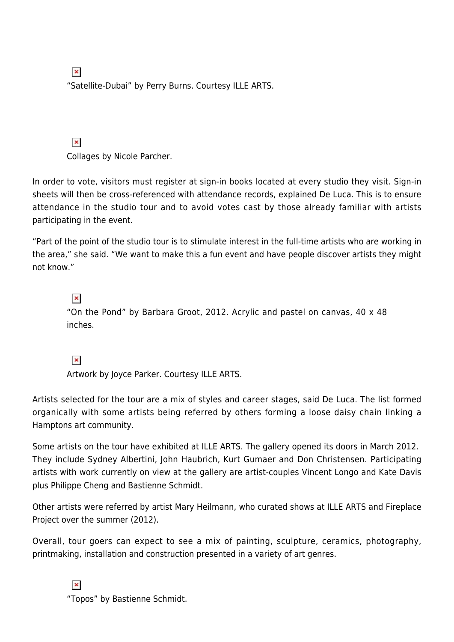$\pmb{\times}$ "Satellite-Dubai" by Perry Burns. Courtesy ILLE ARTS.

 $\pmb{\times}$ Collages by Nicole Parcher.

In order to vote, visitors must register at sign-in books located at every studio they visit. Sign-in sheets will then be cross-referenced with attendance records, explained De Luca. This is to ensure attendance in the studio tour and to avoid votes cast by those already familiar with artists participating in the event.

"Part of the point of the studio tour is to stimulate interest in the full-time artists who are working in the area," she said. "We want to make this a fun event and have people discover artists they might not know."

 $\pmb{\times}$ "On the Pond" by Barbara Groot, 2012. Acrylic and pastel on canvas, 40 x 48 inches.

 $\pmb{\times}$ 

Artwork by Joyce Parker. Courtesy ILLE ARTS.

Artists selected for the tour are a mix of styles and career stages, said De Luca. The list formed organically with some artists being referred by others forming a loose daisy chain linking a Hamptons art community.

Some artists on the tour have exhibited at ILLE ARTS. The gallery opened its doors in March 2012. They include Sydney Albertini, John Haubrich, Kurt Gumaer and Don Christensen. Participating artists with work currently on view at the gallery are artist-couples Vincent Longo and Kate Davis plus Philippe Cheng and Bastienne Schmidt.

Other artists were referred by artist Mary Heilmann, who curated shows at ILLE ARTS and Fireplace Project over the summer (2012).

Overall, tour goers can expect to see a mix of painting, sculpture, ceramics, photography, printmaking, installation and construction presented in a variety of art genres.

 $\pmb{\times}$ 

"Topos" by Bastienne Schmidt.